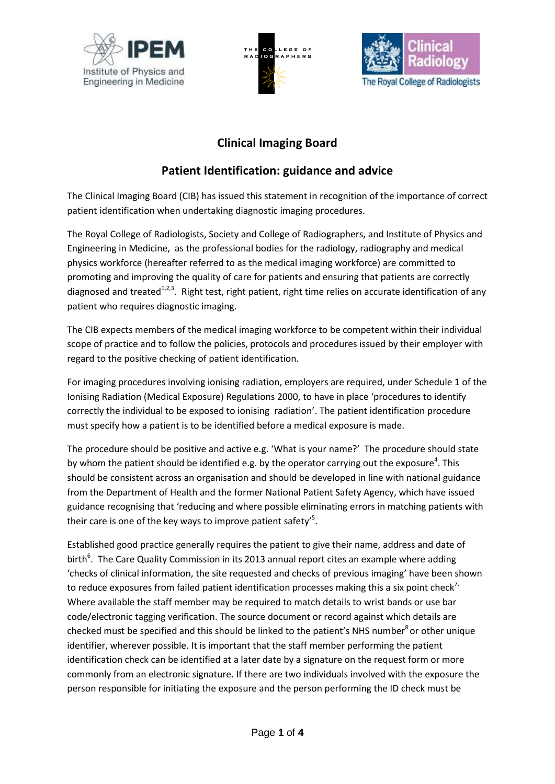





# **Clinical Imaging Board**

# **Patient Identification: guidance and advice**

The Clinical Imaging Board (CIB) has issued this statement in recognition of the importance of correct patient identification when undertaking diagnostic imaging procedures.

The Royal College of Radiologists, Society and College of Radiographers, and Institute of Physics and Engineering in Medicine, as the professional bodies for the radiology, radiography and medical physics workforce (hereafter referred to as the medical imaging workforce) are committed to promoting and improving the quality of care for patients and ensuring that patients are correctly diagnosed and treated<sup>1,2,3</sup>. Right test, right patient, right time relies on accurate identification of any patient who requires diagnostic imaging.

The CIB expects members of the medical imaging workforce to be competent within their individual scope of practice and to follow the policies, protocols and procedures issued by their employer with regard to the positive checking of patient identification.

For imaging procedures involving ionising radiation, employers are required, under Schedule 1 of the Ionising Radiation (Medical Exposure) Regulations 2000, to have in place 'procedures to identify correctly the individual to be exposed to ionising radiation'. The patient identification procedure must specify how a patient is to be identified before a medical exposure is made.

The procedure should be positive and active e.g. 'What is your name?' The procedure should state by whom the patient should be identified e.g. by the operator carrying out the exposure<sup>4</sup>. This should be consistent across an organisation and should be developed in line with national guidance from the Department of Health and the former National Patient Safety Agency, which have issued guidance recognising that 'reducing and where possible eliminating errors in matching patients with their care is one of the key ways to improve patient safety'<sup>5</sup>.

Established good practice generally requires the patient to give their name, address and date of birth<sup>6</sup>. The Care Quality Commission in its 2013 annual report cites an example where adding 'checks of clinical information, the site requested and checks of previous imaging' have been shown to reduce exposures from failed patient identification processes making this a six point check<sup>7.</sup> Where available the staff member may be required to match details to wrist bands or use bar code/electronic tagging verification. The source document or record against which details are checked must be specified and this should be linked to the patient's NHS number<sup>8</sup> or other unique identifier, wherever possible. It is important that the staff member performing the patient identification check can be identified at a later date by a signature on the request form or more commonly from an electronic signature. If there are two individuals involved with the exposure the person responsible for initiating the exposure and the person performing the ID check must be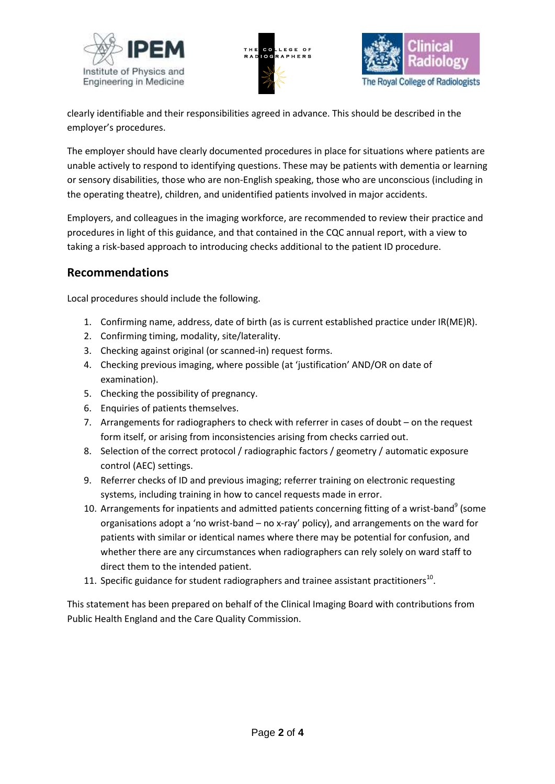





clearly identifiable and their responsibilities agreed in advance. This should be described in the employer's procedures.

The employer should have clearly documented procedures in place for situations where patients are unable actively to respond to identifying questions. These may be patients with dementia or learning or sensory disabilities, those who are non-English speaking, those who are unconscious (including in the operating theatre), children, and unidentified patients involved in major accidents.

Employers, and colleagues in the imaging workforce, are recommended to review their practice and procedures in light of this guidance, and that contained in the CQC annual report, with a view to taking a risk-based approach to introducing checks additional to the patient ID procedure.

### **Recommendations**

Local procedures should include the following.

- 1. Confirming name, address, date of birth (as is current established practice under IR(ME)R).
- 2. Confirming timing, modality, site/laterality.
- 3. Checking against original (or scanned-in) request forms.
- 4. Checking previous imaging, where possible (at 'justification' AND/OR on date of examination).
- 5. Checking the possibility of pregnancy.
- 6. Enquiries of patients themselves.
- 7. Arrangements for radiographers to check with referrer in cases of doubt on the request form itself, or arising from inconsistencies arising from checks carried out.
- 8. Selection of the correct protocol / radiographic factors / geometry / automatic exposure control (AEC) settings.
- 9. Referrer checks of ID and previous imaging; referrer training on electronic requesting systems, including training in how to cancel requests made in error.
- 10. Arrangements for inpatients and admitted patients concerning fitting of a wrist-band<sup>9</sup> (some organisations adopt a 'no wrist-band – no x-ray' policy), and arrangements on the ward for patients with similar or identical names where there may be potential for confusion, and whether there are any circumstances when radiographers can rely solely on ward staff to direct them to the intended patient.
- 11. Specific guidance for student radiographers and trainee assistant practitioners<sup>10</sup>.

This statement has been prepared on behalf of the Clinical Imaging Board with contributions from Public Health England and the Care Quality Commission.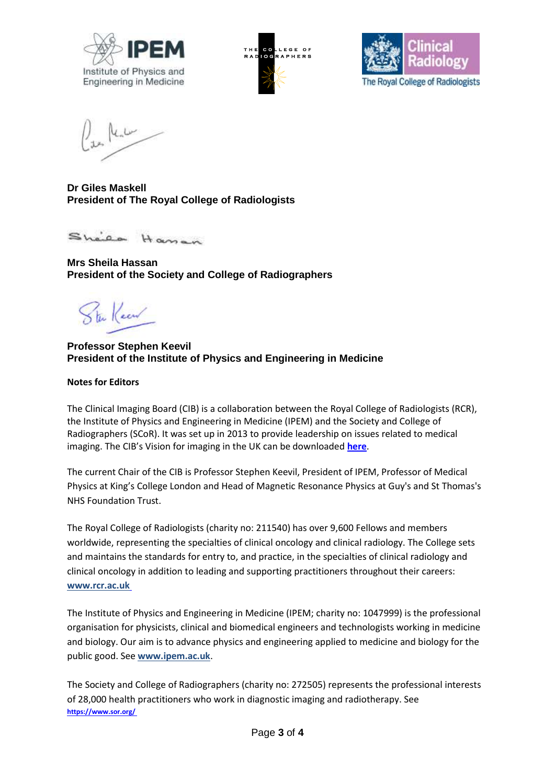





**Dr Giles Maskell President of The Royal College of Radiologists**

Sheica Haman

**Mrs Sheila Hassan President of the Society and College of Radiographers**

in Keen

**Professor Stephen Keevil President of the Institute of Physics and Engineering in Medicine**

#### **Notes for Editors**

The Clinical Imaging Board (CIB) is a collaboration between the Royal College of Radiologists (RCR), the Institute of Physics and Engineering in Medicine (IPEM) and the Society and College of Radiographers (SCoR). It was set up in 2013 to provide leadership on issues related to medical imaging. The CIB's Vision for imaging in the UK can be downloaded **[here](http://www.ipem.ac.uk/Portals/0/Documents/Partners/Clinical%20Imaging%20Board/A%20Vision%20for%20Clinical%20Imaging%20in%20the%20UK%20v2.0.pdf)**.

The current Chair of the CIB is Professor Stephen Keevil, President of IPEM, Professor of Medical Physics at King's College London and Head of Magnetic Resonance Physics at Guy's and St Thomas's NHS Foundation Trust.

The Royal College of Radiologists (charity no: 211540) has over 9,600 Fellows and members worldwide, representing the specialties of clinical oncology and clinical radiology. The College sets and maintains the standards for entry to, and practice, in the specialties of clinical radiology and clinical oncology in addition to leading and supporting practitioners throughout their careers: **[www.rcr.ac.uk](http://www.rcr.ac.uk/)**

The Institute of Physics and Engineering in Medicine (IPEM; charity no: 1047999) is the professional organisation for physicists, clinical and biomedical engineers and technologists working in medicine and biology. Our aim is to advance physics and engineering applied to medicine and biology for the public good. See **[www.ipem.ac.uk](http://www.ipem.ac.uk/)**.

The Society and College of Radiographers (charity no: 272505) represents the professional interests of 28,000 health practitioners who work in diagnostic imaging and radiotherapy. See **[https://www.sor.org/](https://www.sor.org/ )**